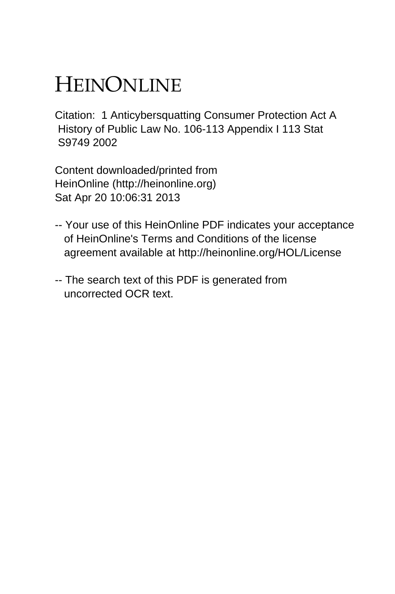# HEINONLINE

Citation: 1 Anticybersquatting Consumer Protection Act A History of Public Law No. 106-113 Appendix I 113 Stat S9749 2002

Content downloaded/printed from HeinOnline (http://heinonline.org) Sat Apr 20 10:06:31 2013

- -- Your use of this HeinOnline PDF indicates your acceptance of HeinOnline's Terms and Conditions of the license agreement available at http://heinonline.org/HOL/License
- -- The search text of this PDF is generated from uncorrected OCR text.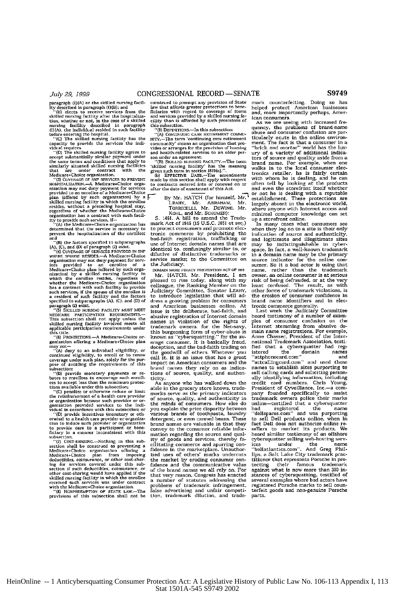Paragraph (I)(A) or the skilled nursing facility described in paragraph (I)(B); and<br>ity described in paragraph (I)(B); and<br>skilled nursing facility after the hospitaliza-<br>tion, whether or not, in the case of a skilled nurs

"(C) The skilled nursing is<br>capacity to provide the services the individual requires.<br>The skilled nursing facility agrees to accept substantially similar payment under<br>the same terms and conditions that apply to the same t the same terms and conductions una<br>similarly situated skilled nursing<br>that are under contract we<br>dicare+Choice organization. with the

Medicare-Choice organization.<br>  $(3)$  COVERAGE OF SINTERFORM THEORY THEORY INTERFERNATION  $-$ A Medicare-Choice organization may not deny payment for services<br>
nurvied to an ancule of a Medicare-Choice<br>
pain (offered by suc regarness or wenter the Medicara-Choice<br>organization has a contract with such facility to provide such services, if—<br> $\mathcal{H}$  (A) the Medicara-Choice organization has<br>determined that the service is necessary to

prevent the hospitalization of the enrollee; .<br>and

(B) the factors soecified in subparagraphs

"(B) the factors specified in subparagraphs (A), co, and (D) of paragraph (2) exists  $\mathcal{H}(\mathbb{C})$ , and (D) of paragraphs (2) exists  $\mathcal{H}(\mathbb{C})$  (d) coverages responses  $-A$  Medicare-Choice specified to an original of

spectrum supparagraphs (A), (C), and (D) of<br>paragraph (2) exist. The NUSE PROFICE CONSERVERTS.<br>
"(5) SKILLED NURSING PACIUM MORE PROFICENTS.<br>
This subsection shall not apply unless the<br>
skilled nursing facility involved me

rns crite.<br>"(6) PROHIBITIONS.—A Medicare+Choice or-<br>ganization offering a Medicare+Choice plan

may not—<br>"(A) deny to an individual eligibility, or<br>continued eligibility, to enroll or to renew<br>coverage under such plan, solely for the pur-<br>pose of avoiding the requirements of this subsection:

sues to encourage monetary payments or re-<br>bates to enrollees to encourage such enrollees<br>es to accept less than the minimum protec-<br>tions available under this subsection;

"(C) penaltze or otherwise reduce or limit<br>the reimbursement of a health care provider or limit the reminualisation because such provider or or-<br>ganization provided services to the indi-<br>vidual in accordance with this subsection; or

(D) provide incentives (monetary or otherwise) to a health care provider or organization to induce such provider or organization to provide care to a participant or bene-<br>ficiary in a manner inconsistent with this bsection.<br>bsection.<br>'(7) COST-SHARING.

-Nothing in this subsection shall be construed as preventing a<br>Medicare-Choice organization offering a<br>Medicare-Choice plan from imposing<br>deductibles, coinsurance, or other cost-shardecorations, connstrained, or other cost-sinar-<br>is general under this subsettion if such deductibles, constant experiments, or<br>other cost-sharing would have applied if the<br>skilled nursing facility in which the emolee<br>of th

NONPREEMPTION OF STATE LAW.-The provisions of this subsection shall not be construed to preempt any provision of State<br>law that affords greater protections to bene-<br>ficiaries with regard to coverage of terms<br>and services provided by a skilled nursing fa-<br>cility than is afforded by such provisions this subsection.

"(9) DEFINITIONS.-In this subsection:

"(A) CONTINUING CARE RETIREMENT COMMU-<br>ITY,—The term 'continuing care retirement NITY. community' means an organization that provides or arranges for the provision of housing<br>and health-related services to an older person under an agreement.<br>"(B) SKILLED NURSING FACILITY.—The term

"(S) SKILLED NURSING FACILITY.-The term<br>
"skilled nursing facility" has the meaning given such term in section 1818[9],"<br>
given such term in section 1818[9],"<br>
(b) EFFECTNE DATE.-The amendments<br>
made by this section shall

By Mr. HATCH (for himself, Mr. LEAHY, Mr. ABRAHAM,<br>TORRICELLI, Mr. DEWINE, Mr. Mr.

KOHL, and Mr. SCHUMER):<br>S. 1461. A bill to amend the Trademark Act of 1946 (15 U.S.C. 1051 et seq.) to protect consumers and promote electronic commers and promote electronic commerce by prohibiting the bad-faith registration, trafficking or identical to, confusingly similar to, or<br>dilutive of distinctive trademarks or service marks; to the Committee on the Judiciary.

DOMAIN NAME PIRACY PREVENTION ACT OF 1999 Mr. HATCH. Mr. President, I am plassed to rise today, along with my<br>plassed to rise today, along with my<br>colleague, the Ranking Member on the<br>Judiciary Committee, Senator LEAHY,<br>to introduce legislation that will adca massacre registration for consumers<br>and American businesses online. At<br>issue is the deliberate, bad-faith, and abusive registration of Internet domain names in violation of the rights of<br>trademark owners. for the Net-savy, this burgeoning form of cyber-abuse is<br>this burgeoning form of cyber-abuse is<br>known as "cybersquatting." for the av-<br>erage consumer, it is basically fraud. enege consumer. It is to take the deception, and the bad-faith trading on<br>the goodwill of others. Whatever you<br>call it, it is an issue that has a great brand names they rely on as indications of source, quality, and authenticity.

anyone who has walked down the aisle in the grocery store knows, trade-<br>marks serve as the primary indicators<br>for source, quality, and authenticity in<br>the minds of consumers. How else do you explain the price disparity between<br>various brands of toothpaste, laundry detergent, or even canned beans. These brand names are valuable in that they convey to the consumer reliable information regarding the source and quality of goods and services, thereby facilitating commerce and spurring con-<br>fidence in the marketplace. Unauthorized uses of others' marks undercuts the market by eroding consumer con-<br>fidence and the communicative value of the brand names we all rely on. For that very reason, Congress has enacted ence very reason, congress has enciced<br>problems of trademark infringement, false advertising and unfair competi-<br>false advertising and unfair competi-<br>tion, trademark dilution, and trademark counterfeiting. Doing so has<br>helped protect American businesses<br>and, more importantly perhaps, American consumers.

Ican consumers.<br>As we are seeing with increased frequency, the problems of brand-name<br>abuse and consumer confusion are particularly acute in the online environment. The fact is that a consumer in a "brick and mortar" world has the lux-<br>ury of a variety of additional indicathe state and quality aside from a<br>brand name. For example, when one<br>walks in to the local consumer elec-<br>tronics retailer, he is fairly certain arounce retaining and he can<br>with whom he is dealing, and he can<br>often tell by looking at the products<br>and even the storefront itself whether or not he is dealing with a reputable of not he is deamly with a reputable<br>establishment. These protections are<br>largely absent in the electronic world, where anyone with Internet access and<br>minimal computer knowledge can set up a storefront online.<br>In many cases what consumers see

when they log on to a site is their only indication of source and authenticity,<br>and legitimate and illegitimate sites may be indistinguishable in cyberspace. In fact, a well-known trademark in a domain name may be the primary<br>source indicator for the online consumer. So it a bad actor is using that name, rather than the trademark<br>owner, an online consumer is at serious risk of being defrauded, or at the very<br>least confused. The result, as with other forms of trademark violations, is the erosion of consumer confidence in brand name identifiers and in elec-

tronic commerce generally.<br>Last week the Judiciary Committee heard testimony of a number of examnear assumer confusion on the<br>Internet stemming from abusive do-<br>Internet stemming from abusive do-<br>main name registrations. For example,<br>Ame Chasser, President of the International Trademark Association, testi-<br>fied that a cybersquatter had regserved the domain<br>"attphonecard.com"<br>"attcallingers" istered name and "attrailingcard.com" and used those names to establish sites purporting to<br>sell calling cards and soliciting personally identifying information, including credit card numbers. Chris Young,<br>President of Cyveillance, Inc.-a com-Fresume to typerameter interesting to assist<br>trademark owners police their marks online—testified that a cybers<br>qualitative had registered the name had registered<br>''delispares.com'' ar and was purporting to sell Dell products online, when in<br>fact Dell does not authorize online resellers to market its products. We<br>heard similar testimony of an offshore cybersquatter selling web-hosting services under the name<br>"bellatlantics.com". And Greg Philices name lips, a Salt Lake City trademark practitioner that represents Porsche in protecting their famous trademark<br>against what is now more than 300 inexames of cybersquatting, testified of<br>several examples where bad actors have<br>registered Porsche marks to sell counterfeit goods and non-genuine Porsche parts.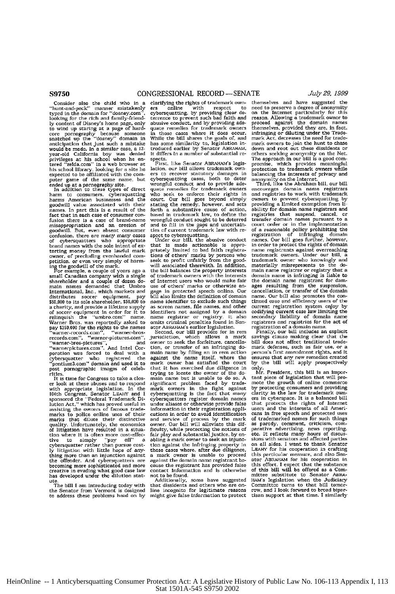Consider also the child who in a "hunt-and-peck" manner mistakenly typed in the domain for "dosney.com", looking for the rich and family-friend**ly** content of Disney's home page, only to wind up staring at a page of hard-core pornography because someone snatched up the 'dosney" domain in anticipation that just such a mistake would be made. In a similar case, a 12 year-old California boy was denied privileges at his school when he en-tered "zealdacom" in a web browser at his school library, looking for a site he expected to be affiliated with the computer game of the same name, but

ended up at a pornography site. In addition to these types of direct hare to consumers, cybersquatting harms American businesses and the goodwill value associated with their names, In part this is a result **of** the fact that in each case of consumer confusion there is a case of brand-name misappropriation and an erosion of goodwill. But, even absent consumer confusion. there are many many casts cybersquatters who appropriate brand names with the sole intent **of** extorting money from the lawful mark owner, of precluding evenhanded **com**petition. or even very simply of harm-

**ing** the goodwill of the mark. For example, a couple of years ago a small Canadian company with a single shareholder and a couple of dozen domain names demanded that Umbra International. Inc., which markets and distributes soccer equipment, pay **\$50,000** to its sole shareholder, **\$50,000** to a charity, and piovide a lifetime supply of soccer equipment in order for it to relinquish the *"umbra.cem"* name. Warner Bros. was reportedly asked to pay **\$350,000** for the rights to the names "warner-records.com", "warner-bros-records.cam". "warner-pictures.com". "warner-bros-pictures", and<br>"warnerpictures.com". And Intel Cor-<br>poration was forced to deal with a<br>cybersquatter who registered the<br>"pentiumlcom" domain and used it to post pornographic images of celeb-

rItles. It is time for Congress to take a closer look at these abuses and to respond with appropriate legislation. In the f04th Congress, Senator LEAHY and I sponsored the "Federal Trademark Di-lution Act," which has proved useful in assisting **tie** owners **of famous** trademarks to police online uses of their marks that dilute their distinctive<br>quality. Unfortunately, the economics<br>of litigation have resulted in a situation where It is often more cost-effective to simply "pay off' a cybersquatter rather than pursue costly litigation with little hope of any-thing more than an injunction against the offender. And cybersquatters **are** becoming more sophisticated **and** more creative in evading what good case law has developed under the dilution statute,

The bill I am introducing today with<br>le Senator from Vermont is designed the Senator from Vermont to address these problems head an by clarifying the rights of trademark owners online with respect to<br>cybersquatting, by providing clear de-<br>terrence to prevent such bad faith and<br>abusive conduct, and by providing ade-<br>quate remedies for trademark owners in those cases where it does occur. While the bill shares the goals of. **and** has some similarity to, legislation in-troduced earlier by Senator ABRAHAM, it differs in a number of substantial respects.

First, like Senator ABRAHAM's legislation, our bill allows trademark own **ers** to recover statutory damages in cybersquatting cases. both to deter wrongful conduct and to provide adequate remedies for trademark owners who seek to enforce their rights in<br>court. Our bill goes beyond simply<br>stating the remedy, however, and sets<br>forth a substantive cause of action<br>based in trademark law, to define the<br>wrongful conduct sought to be deterred and to fill **in** the gaps **and** uncertain-ties of current trademark law with **re-**

spect to cybers<br>quatting. Under our bill, the abusive conduct that is made actionable is appropriately limited to be<br>distributed to be distributed to be distributed in the spectrosy of<br>cheres' marks by persons who specific the bill balances the property interests of trademark owners with the interests of Internet users who would make fair use of others' marks or otherwise engage in protected speech online. Our bill also limits the definition of domain name identifier to exclude such things as screen names, file names, and other identifiers not assigned by a domain name registrar **or** registry. it also omits criminal penalties found in Sen-

ator ABRAHAM's earlier legislation. Second. our bill provides **for** in rem jurisdiction, which allows a mark owner to seek the forfeiture, cancellation, or transfer **of** an infringing domain name **by** filing an in rem action against the name itself, where the mark owner has satisfied the court that it has exercised due diligence in trying to locate the owner of the do main name but is unable to do so- **A** significant problem faced by trade-mark owners in the fight against tybersquatting is the fact that irany cybersquatters register domain names under aliases or otherwise provide false information in their registration applications in order to avoid identification and **service** of process by the mark owner. Our bill will alleviate this **dif**ficulty, while protecting the notions of fair play and substantialjustice, by enabling a mark owner to seek **an** injunction against the infringing property in those cases whero, after due diligence. a mark owner is unable to proceed against the domain name registrant **be-**cause the registrant has provided false contact Information and is otherwise not to be found.

Additionally, some have suggested<br>that dissidents and others who are on<br>ime incognito for legitimate reasons<br>might give false information to protect

themselves and have suggested the<br>meed to preserve a degree of anonymity<br>on the Internet particularly for this<br>proceed against the domain names<br>proceed against the domain names<br>themselves, provided they are, in fact-<br>infri mark Act, decreases the need for trademark owners **tojoin** the hunt to chase down and root out these dissidents or others seeking anonymity on the Net. The approach in our bill is a good compromise, which provides meaningful protection to trademark owners while balancing the interests of privacy and anonynity on the Internet. Third, like the Abraham bill, our bill

encourages domain name registrars and registries to work with trademark owners to prevent eybersquatilng by providing a limited exemption from li ability for domain name registrars and solution to the main that a spend, cancel, or<br>registries that suspend, cancel, or<br>court order or in the implementation<br>of a reasonable policy prohibiting the<br>registration of infringing domains.<br>or and the interval of the s name registrants against overreaching trademark owners. Under our bill, a trademark owner who knowingly and materially misrepresents to the domateriany inistepresents to the domain name registrar or registry that a<br>domain name is infringing is liable to the domain name registrant for damages resulting from the suspension<br>cancellation, or transfer of the domain name. Our bill also promotes the con-tinued ease **and** efficiency users **of the** current registration system enjoy by codifying current case law limiting the secondary liability of domain name registrars and registries for the act of **re** istrotion of a domain name.

Final y, our bill includes an explicit savings clause making clear that **the bill** does not affect traditional trademark defenses, such as fair use, or a person's first amendment rights, **and** it ensurs that any **new** remedies created by the bill will apply prospectively **.** President, the set of the set of the set of the set of the set of the set of the set of the set of the set of the set of the set of the set of the set of the set of the set of the set of the set of the set of the set o

tant piece of legislation that will protant piece of legislation that will pro-<br>mote the growth of online commerce by protecting consumers and providing clarity in the law for trademark own-*ers* in cyberspace. It is a balanced bill that protects the rights of Internet users **and** the interests of all Americans in free speech and protected uses of trademarked names for such things as parody, comment, criticism, com-<br>parative advertising, news reporting<br>etc. It reflects many hours of discussions with senators and affected parties on all sides. I want to thank Senator LEAHY for his cooperation in crafting this particular measure, and also Sen-ator ABRAHAM for his cooperation in this effort. I expect that the substance of this bill will be offered as a Committee substitute to Senator ABRA-HAM's legislation when the Judiciary Committee turns to that bill tomorrow, and I look forward to broad bipartisan support at that time. I similarly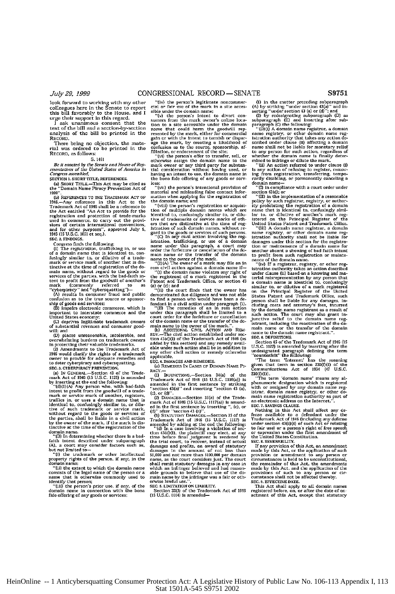look forward to working with my other colleagues here in the Senate to report<br>this bill favorably to the House, and I urge their support in this regard.<br>I ask unanimous consent that the

text of the bill and a section-by-section<br>analysis of the bill be printed in the RECORD.

There being no objection, the mate-<br>rial was ordered to be printed in the RECORD, as follows:

## S. 1461

Be it enacted by the Senate and House of Representatives of the United States of America in ress assembled

SECTION 1. SHORT TITLE: REFERENCES

(a) SHORT TITLE.--This Act may be cited as<br>he "Domain Name Piracy Prevention Act of 1999\*

1996.<br>
"CONTRESS TO THE TRADEMARK ACT OF 1946.—Any reference in this Act to the Trademark Act of 1946 shall be a reference to the the Act tentiled "An Act to provide for the registration and protection of trade-marks used in commerce, to carry out the provisions of certain international conventions, and for other purposes", approved July 5, 1946 (15 U.S.C. 1051 et seq.). SEC. 2, FINDINGS.

SEC. 2. FINDINGS.<br>
Congress finds the following:<br>
(1) The registration, trafficking in, or use<br>
(1) The registration, trafficking it and domain name that is identical to, con-<br>
Justing is militar to, or diluctive of a tra

stup of goods and services:<br>
(B) impairs electronic commerce, which is<br>
important to interstate commerce and the<br>
United States economy;<br>
(C) depives legitimate trademark coveres<br>
of substantial revenues and conssumer good

will, end<br>
(D) places unreasonable, intolerable, and<br>
overwhelming burdens on trademark owners<br>
in protecting their valuable trademarks.

The procedure in the asset of the Trademark Act of<br>1946 would clarify the rights of a trademark<br>owner to provide for adequate remedies and to deter cyberpiracy and cybersquatting. SEC. 3. CYBERPIRACY PREVENTION.

SEC.3. CHERENNAL — Section 43 of the Trade-<br>analy AC of 1980 (13 U.S.C. 1129) is amended by inserting at the of 1980 (15 U.S.C. 1129) is amended<br>by inserting at the end the following:<br>"(d)(i)(A) Any person who, with bad-ai trainis in, or uses a comain name trat is<br>identical to, confusingly similar to, or dilu-<br>tive of such trademark or services mark,<br>without regard to the goods or services of<br>the parties, shall be liable in a civil action<br>by domain name.

domain name.<br>
"(3) In determining whether there is a bad-<br>
faith Intent described under subparagraph<br>
(A), a court may consider factors such as,<br>
but not limited to—

out not united to-<br>
"(i) the trademark or other intellectual<br>
property rights of the person, if any, in the<br>
"(ii) the extent to which the domain name:<br>
"(iii) the test to visible the domain name<br>
domain state is consists identify that person;

"(iii) the person's prior use, if any, of the<br>domain name in connection with the bona<br>fide offering of any goods or services;

(iv) the person's legitimate noncommercial or fair use of the mark in a site accessible under the domain name;

sine under the comain name;<br>
"(v) the person's intent to divert com-<br>
sumers from the mark owner's online loca-<br>
tion to a site accessible under the domain<br>
name that could harm the goodwill rep-<br>
resented by the mark, eit

resented by the mark, either for commercial gas the mark, experting a gas to reduce the mark, by creating a likelihood of contained confusion as to the source, sponsorship, affiliation, or endorsement of the site, "(Vi) th

ics;<br>
"(vit) the person's intentional provision of matched and misleading false contact information when applying for the registration of mation when applying for the registration of midding the material contact the condu **Istration** of such domain names, without re-<br>grad to the goods or services of such persons.<br>"(C) In any civil action involving the regionalization), increase is<br>traction, trafficking, or use of a domain name under this p

rem civil action against a domain name if—<br>"(i) the domain name violates any right of<br>the registrant of a mark registered in the<br>Patent and Trademark Office, or section 43

about and inductions to the section to<br>
(a) or (c); and<br>
"(ii) the court finds that the owner has<br>
demonstrated due diligence and was not able<br>
to find a person who would have been a de-

Finally a person will would note the there is a decided fundant in a civil action under paragraph (i),  $\binom{n}{2}$ . The remedies of an in rem action court order this paragraph shall be limited to a court curre for the forfe

or die contain name to the covere of the mark."<br>
(b) ADDITIONAL Crylic ACTION AND REM-<br>
(b) ADDITIONAL CRYL ACTION AND REM-<br>
EDY.—The civil action established under sec-<br>
tion 43(c)(1) of the Trademark Act of 1946 (as called by this section) and any remedy available under such action and any remedy available under such action or remedy otherwise applicable

SEC. 4 DAMAGES AND BEMEDIES.

(a) REMEDIES IN CASES OF DOMAIN NAME PI-RACY-

(1) INJUNCTIONS.—Section 34(a) of the Trademark Act of 1946 (15 U.S.C. 1116(a) is amended in the first sentence by striking "section 43(a)" and inserting "section 43 (a), (c), or (d)"

demages and profits, an award of statutory<br>demages in the amount of not less than<br>simply, the amount of not less than<br>name, as the court considers just. The court<br>shall remit statutory demages in any case in<br>which an infr SEC. 5. LIMITATION ON LIABILITY.

Section 32(2) of the Trademark Act of 1946<br>(15 U.S.C. 1114) is amended—

1. Eq. (b) in the matter preceding subperzymbol 2017<br>(a) thy striking "under according to the matter of  $\delta(\alpha)$ " and insulate the second frequency and  $\delta(\alpha)$ " and insulate subperzymbol (b) in the subperzymbol (b) and ins

domain name

'(I) in compliance with a court order under (a) in compilance with a court order under<br>ction  $43(d)$ ; or<br>"(II) in the implementation of a reasonable

"CII in the implementation of a reasonable<br>policy by such registrar, registry, or authority prohibiting the registration of a domain<br>name that is identical to, confusingly similar<br>lar to, or dilutive of another's mark regi

"(iii) A domain name registrar, a domain<br>name registrar, a domain<br>istration authority shall not be liable for<br>damages under this section for the registration or maintenance of a domain name for another absent a showing of bad faith intent<br>to profit from such registration or mainte-<br>mance of the domain name.

mace of the domain name.<br>
"(Uy) If a registrar, registry, or other registration authority takes an action described<br>
under clause (ii) based on a knowing and material misregresentation by any person that<br>
a domain name is cutuary costs and actoming tests, meturing the by the domain name registrant as a result of<br>such actor. The court may also grant in-<br>junctive relief to the domain name registrant, including the reactivation of the domain<br>

SEC. a DEFINITIONS.<br>
Section 45 of the Trademark Act of 1946 (15<br>
U.S.C. 1127) is amended by inserting after the undesignated paragraph defining the term<br>
understart in the lollowing:<br>
"The term 'Internet' has the meaning

 $230(f)(1)$ .<br>"The term domain name means a France contains the main which is registered<br>with or assigned by any domain name registrar. domain name registration<br>main mame registration surfaces main name registration surfaced that<br>main name registration surfaced main

an electronic address on the internet."<br>SEC. 7. SAVINGS CLAUSE.<br>Nothing in this Act shall affect any de-<br>fense available to a defendant under the<br>Trademark Act of 1946 (including any defense<br>under section 43(c)(4) of such and of the special contracts of the speech<br>or expression under the first amendment of<br>the United States Constitution.

the United States Constitution.<br>
SEC as SCONSTANTICY.<br>
SEC. 8. SEVERABILITY.<br>
If any provision of this Act, an amendment<br>
made by this Act, or the application of such<br>
provision or amendment to any person or<br>
circumstance SEC. 8. EFFECTIVE DATE.

the This Act shall apply to all domain names<br>registered before, on, or after the date of en-<br>actment of this Act, except that statutory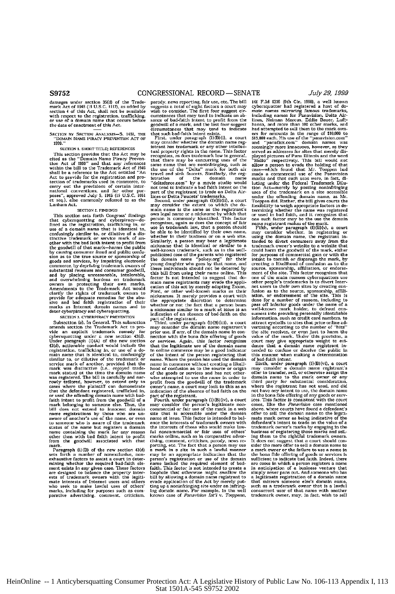damages under section **35(d) of** the Trade- mark Act **of 1946 (15 U.SC. 1117),** as added *by* **section 4** of this Act, shall **not be** available with respect to the registration. trafficking. or **use** of a domain name that occurs before the date **of** enactment **of** this Act.

SECTION BY SECTION ANALYSIS-S. 1451, THE "DOMAIN NAME PIRACY PREVENTION ACT OF 1999."

## **SECTION I.***SHORT* TITLE: **RFERENCES**

This section provides that the Act may **be** cited **as** *the* "Domain Name Pitney Preven; ci Act *af* II9 and that amp reforentes within the bill to the Trademark **Act** of **<sup>946</sup>** shall **be** a reference to the **Act** entitled "An Act to provide for the registration and pro-<br>tection of trademarks used in commerce, to<br>cerry out the provisions of certain inter-<br>partned conventions, and for other pur-<br>pass", approved July 5, 1945 (15 U.S.C. 1951<br>cet se

### **SECTION 2. FINDINGS**

This section sets forth Congress' findings<br>that cybersquatting and cyberpiracy-de-<br>fined as the registration, trafficking in, or use of a domain name that is identical to, confusingly similar to, or dilutive of a distinctive trademark or service mark of an-<br>tinctive trademark or service mark of an-<br>other with the bad faith intent to profil: from the goodwill of that mark-harms the public<br>by causing consumer fraud and public confu-<br>sion as to the true source or sponsorship of<br>goods and services, by impairing electronic commerce, **by** depriting trademark aenrs **of** substantial revenues and **consumer** goodwill, and by placing unreasonable, intolerable, the card overwhelming burdens on trademark factors of own marks, m<br>owners in protecting their own marks, m<br>Amendments to the Trademark Act would  $G$ <br>clarify the rights of trademar sie and bad faith registration **of** their marks as Internet domain natins **and** to **deter** cyberpiracy and cybersquat lag.

## **SECTION 3. CYBERPIRACY PREVENTION**

Subsection (a). In General. This subsection<br>amends section the Trademark Act to provide an explicit trademark remedy for<br>cybersquatting under a new section 43(d)<br>Under paragraph (i)(A) of the new section<br>3(d), actionable conduct would include the<br>registration, trafficking in, or use of a do-<br>main name th similar **to,** or dilutive oF **the** trademark or service mark **of** another, provided that the mark was distincrive (ie. enjoyed trademark status) at the time the domain name<br>was registered. The bill is carefully and name<br>rowly tailored, however, to extend only to<br>cases where the plaintiff can demonstrate<br>that the defendant registered, trafficked in,<br>or mark belonging to someone else. Thus, the **mark belonging to someone else. Thus, the** name registrations by those who are un-<br>aware of another's use of the name, or even no assume the base of the trademark<br>tatus of the name but registers a domain<br>mame containing the mark for any reason<br>mame containing the mark for any reason<br>other than with bad faith inter to profit<br>from the goodwill assoc

mark.<br>Paragraph (I)(B) of the new section 43(d) "Paragraph (I)(B) of the new section  $43(d)$ <br>sets forth a number of nonexclusive, non-<br>exhaustive factors to assist a court in determining whether the required bad-fall<br>the neurit exists in any given case. These factors<br>ar matts, including for purposes such as com-parailve advertising. comment. criticism, parody, news reporting, fair use, ct.c. The bill<br>suggests a total of eight factors a court may<br>wisit to consider. The first four suggest cir-<br>cumstences that may tend to Indicate an ab-<br>goodwill of a mark, and the last fou

**tual property rights in the name. This factor recognizes, as does trademark law in general,** that there may be concurring uses of the tame rome that **are** naninfringing, such as the use of **the** "Delta" mark for both **air** travel and sink faorets Similarly, the ragftration of the domain name "deltafaoe.cam" by a movie studio would not tend **to** indicate a bad Faith intent **on** the part of the registrant **to** trade on Delta Air-

lines or Delta Faucets' trademarks,<br>
Since or Delta Faucets' trademarks,<br>
Second, under paragraph (f0[8)(ii), a court<br>
may consider the extent to which the do-<br>
main rame is the same as the registrant's<br>
own legal name or **use** in trademark **law,** that a person should be able **to** be Identified **by** their **own nare,** whether in their business or **on** a **wet sit.** Similarly, a person may bear a legitimate nickname that is identical or similar to a nickname that is identical or similar to a<br>mell-known trademark, such as in the well-known trademark, such a<br>publicized case of the parents who registered<br>the domain name "pokey.org" for their<br>young daughter who goes by th this bill from using their name online. This tartar **is not** intended to Suggest that **do-** main name ragistrants toy **erode the** appli-cation of this act **by** merely adopting Eaona, Ford. **or** other well-known iarks as their nicknames. It merely provides a court with the eppropriate discretion to determine whether **or oat** the fact **that** a person bear <sup>a</sup>nickname similar **to** a mark at issue is **an** indication **of** an absence of bad-faith on **the**

part of the registrant.<br>Third, under paragraph (l)(B)(iii). a court<br>may consider the domain name registrant's prior me, if any, of the domain name in **con aection** with the **bona** fide offering of goods **or services.** Again, this factor recognizes that the legitimate **use** of the domain name in nline **omreerce** may **be** a good indicator of **the** intent of **the** person registering that name. Where the person has **used** the domain name in commerce without creating a likelihood of confusion as to the source or origin<br>food of confusion as to the source or origin<br>of the goods or services and has not otherwise<br>statempted to use the name in order to<br>prof owner's name, a court may look to this as an indication of the absence of bad faith on the part of the registrant.<br>Fourth, under paragraph (I)(B)(iv), a court

may consider the person's legitimate non- commercial or fair use of the mark in a web site that is accessihie under **the** domain name at issue. This factor is intended to **bal**ance the interests of trademark owners with the interests **of** those who world make **law-**rul noeaommciad or lair uses of others' out nucleonimization in and uses of outers<br>that marks online, such as in comparable advertising, comment, criticism, parody, news re-<br>porting, etc. The fact that a person may use<br>a mark in a site in such a lawful manner<br>ma person's registration or use of the domain tame **lacked** the required element of bad- faith. This factor is not intended to create <sup>a</sup> loophole that otherwise might swallow the solphone can concern manner registrant to<br>built by allowing a domain name registrant to<br>evade application of the Act by merely put<br>ting up a noninfringing site under an infring-<br>ing domain name. For example, in the well<br>kn

THE  $5d$  1316 (the CHE 1898), a well however that registered in the momentum matter and the momentum matter and the momentum matter in the momentum based of the momentum based of the case of the annual attention of the mo mes of the trademark **on a** site accessible under the offending domain name. as Mr. Toeppan did. Rather, the **bill** gives courts the lfibility **to** weigh appropriate factors in de- termining whether the name wan registered or used **iin** bad faith, **and** it recognizes tiat one such factor **may** be the **use** the domain name registrant makes of the mark.<br>Fifth, under paragraph (1)(B)(v), a cour

may consider whether, in registering on<br>stigraphy descriptions in registrant interaded to divert consumers away from the<br>trademark owner's website to a website that<br>could harm the godwill do the mark, either<br>for purposes o one of the **main** reasons cybersquatters use other people's trademarks is to divert Inter- net **users to** their own sites **by** creating **an**fusion as to the source, sponsorship affiliation, or endorsement of the site. This is done, or a number of reasons, including to pass off inferior goods under the name of a well-known mark holder, to defraud convention sum of the site creatives, or even just to harm the value of the nark. Under this provision, a<br>court may give appropriate weight to evi-<br>court may give appropriate weight to evi-<br>dence that a domain name registrant in-<br>tended this manner when making a determination<br>of bad-faith intent.<br>Sixth, under paragraph (I)(B)(vi), a court<br>may consider a domain name registrant's

offer **to** transfer, sell, or otherwise **a..ig** the domain name to **the** mark owner or *any* bomein name to the mark owner or any<br>third party for substantial consideration,<br>where the registrant has not used, and did not have any intent to use, the domain name<br>in the bona fide offering of any goods or services. This factor is consistent with the court cases, like the *Panaiuon* case mentioned above, where courts have found **a** defendant's above, what could make the legislation of the experiments make on the legislation of the definition defendant s intent to trade on the value of a trademark owner's marks by engaging in the business of registering those mar It dos ant suggest **that** a **court** should tan- sider the mare offer **to** sell a domain name **to** a mark owner or the failure to use a name in<br>the bona fide offering of goads or services is sufficient **to** indicate bad faith. **Indeed.** thet are cases in which a person registers a name **In** anticipation of a business venture that simply never pans out. And someone who has a legitimate registration **of** a domain name that mirrorn someone else's domain name, stch as a trademark owner that Is a **lawful** concurrent user **of** that **name** with another trademark owner, may, in fact, wish **to** sell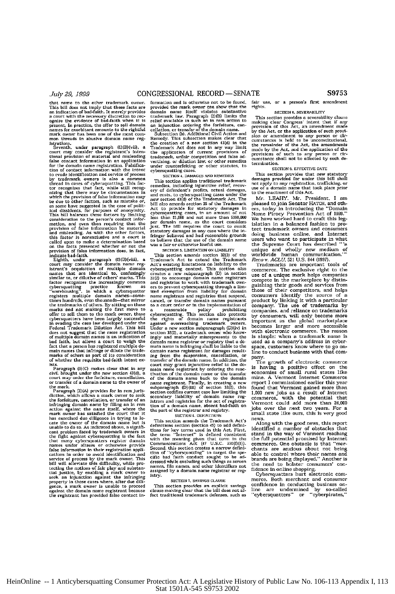that name to the other trademark owner.<br>This bill does not imply that these facts are<br>an indication of bad-faith. It merely provides<br>a court with the necessary discretion to rec-<br>ognize the evidence of bad-faith when it is mark owner has been one of the most com-<br>mon threads in abusive domain name reg-

istrations.<br>
Seveenth, under paragraph  $(1)(E)(\sqrt{u})$ , a<br>
court may consider the registrant's intense<br>
tional provision of material and misleading<br>
false contact information in an application<br>
for the domain name registrati by trademark owners is also a common<br>the value and a common state and common character recognizes that fact, while still recognize<br>which the provision of false information may within the provision of false information may<br>

this factor is nonexclusive and a court is<br>called upon to make a determination based on the factor is nonexed whether or not the<br>provision of false information does, in fact, Egith, under paragraph (I(G)(Viii), a<br>meaning m offer to sell them to the mark owner, these<br>cybersquatters have been largely successful<br>in evading the case law developed under the Federal Trademark Dilution Act, This **bill does not** suggest that the mere registration **of** multiple domain names **is** an indication of bad faith, but allows a court to weigh the<br>fact that a person has registered multiple do-<br>mark and a faith finge or dilute the trade-<br>marks of others as part of its consideration<br>of whether the requisite bad-faith intent e

Paragraph **(1)(C)** makes **cler** that in any **civli** brught under the new section 43(d), a court may **order the** forfeiture, cancellatio. or transfer **of** a domain name to the owner of

the mark,<br>
Paragraph (2)(A) provides for in rem juris-<br>
litetten, which allews a mark owers to seek<br>
the forfeiture, canceliation, or transfer of an<br>
infringing domain name by filling an in rem<br>
action against the name is nua concernation of the domain almo but is<br>careful owner of the domain almo but is<br>transitive of to so. As indicated above, a signifi-<br>the fight against cybers applies that model is the fact to the fight against change<br>tha against the domain name registrant **because** the registrant has provided false contact in-

forisation and is otherwise not to be found. provided the mark owner **can** show that the

comain name itself violates substantive<br>comain rame itself violates substantive<br>rademark law. Paragraph (2)(B) limits the<br>name induction ordering the forficitive, cancellation, or transfer of the domain name.<br>Subsection (0 vertising. or dilution law, or other remedies **under** councerfeiting or other statutes. to cybersquattng cases.

This section applies traditional trademark remedies, including injunctive relief, recos-try of defendant's prefits, actual damages, aid costs, to cybersquatting cases under the new section 43(d) **of** the Trademark Act- The bill also amends section **35 of the** Trademark Act to **provide for** statutory **damages** in cybersquatting cases, in an amount of not less than \$1,000 and not more than \$100,000 per domain name, as the court considers just. The hill requires the court to remit statutory damages **in** any case where the in-fringer belseved **and** had reasonable grounds to blieve ilat the use of the doman name was a fair **or** otherwise lawful use.

## **SECTION 5. LIMITATION ON LIABILITY**

This section amends section **32(2) of** the Trademark Act to extend the Trademark These<br>main Factor and Catalogue and Act's existing limitations on lisbility to the<br>creates a new subperagraph (D) in section also<br>creates a new subperagraph (D) in section<br>and registrars to work with trademark away<br>ers to name registrars and registries that suspend,<br>name registrars and registries that suspend,<br>cancel, or transfer domain names pursuant<br>to a court order or in the implementation of a reasonable policy prohibiting cybersquatting. This section also protects **the** rights of domain sian registants against overreaching trademark owners.<br>Under a new section subparagraph (D)(is) in section 3202), a trademark owner who knows<br>ingly and materially misrepresents to the domain name registrar or registrat in de-<br>main name i men **name** registrant by ordoring thcrea-ticatin of the domain **came** or the trasfer **of** the domain name **back to** the domain name registrent. Finally, in creating a new subgarage<br>and CO(iii) of section 32(2), this section codifies current case law limiting the<br>sectorior codifies current case law limiting the<br>secondary liability of domain name re

This section amends the Trademark Act's Theorem (Section 48) that definitions for leay terms used in this Act. First, it the term "Internet" is defined consistent  $S$  Communications (Section 49) and the meaning given that cific bad faith conduct sought to be addednessed while excluding such things as screen<br>names, file names, and other identifiers as screen<br>names, file names, and other identifiers not<br>assigned by a domain name registrar or

# **SECTION 7. SAVINGS CLAUSE**

This section provides **an** explicit **savings** cianse makig clear that **the** bill does not af-feet treditional trademark defenses, such as

fair **use.** or a person's first amendment rights.

scribing clear Congress as exerculativy clause<br>This section provides a severability clause<br>making clear Congress' intert that if any<br>provision of this Act, an amendment made<br>by the Act, or the opplication of such provides<br>

# SECTION 9. EFFECTIVE DATE

This section provides that new statutory<br>damages provided for under this bill shall<br>not apply to any registration, trafficking, or<br>use of a domain name that took place prior to the enactment **of** this Act.

Mr. LEAHY. Mr. President, I am pleased tojoin Senator HATCH, **and** oth-ers. today in introducing the "Domain Name Piracy Prevention Act of **1999."** We have worked hard to craft this legislation in a balanced fashion to protect trademark owners **and** consumers doing business online, and Internet<br>users who want to participate in what<br>the Supreme Court has described "<sup>1</sup>a<br>unique and wholly new medium of<br>worldwide human communication.<sup>14</sup>

*Renov. ACLU,* **521 U.S. 844 (1997). Trademarks are** important **tools** of commerce. The exclusive right to **the** *use* of a unique mark helps companies compete in the marketplace **by** distin- guishing their goods and services from those of their competitors, **and** helps consuoers identify the source of a product **by** linking it with a particular company. The use of trademarks **by** companies, and reliance on trademarks by consumers, will only become more<br>important as the global marketplace becomes larger and more accessible With electronic commerce. The reason is simple: when a trademark name is **used** as a company's address in cyber-space, customers know where to go **on**line to conduct business with that com-

**The** grorwth of lectronic commerce is having a positive effect **on** the economies of **small rural** states like mine. A Vermont Internet Commerce mine. A Vermont Internet Commerce<br>report I commissioned earlier this year found that Vermont gained more than **1,000 new** jobs *as* **a** result of **Internct** commerce, with the potential that Vermont could add **more** than 24.000 jobs over the next two years. For a small **state** like ours, this is very good news.

Along with the good news, this report identified a number **of** obstacles that stand in the way of Vermont reaching the full potential promised **by** Internet commerce. One obstacle is that "merchants are **anaious about** not being able to control where their names and brands are being displayed." Another is **the need to** holster consumers' **cun-**fidence **in** online shopping. Cybersquattes hurt electronic com-merce. Both merchant and consumer

confidence in conducting business on-<br>line are undermined by so-called<br>"cybersquatters" or "cyberpirates,"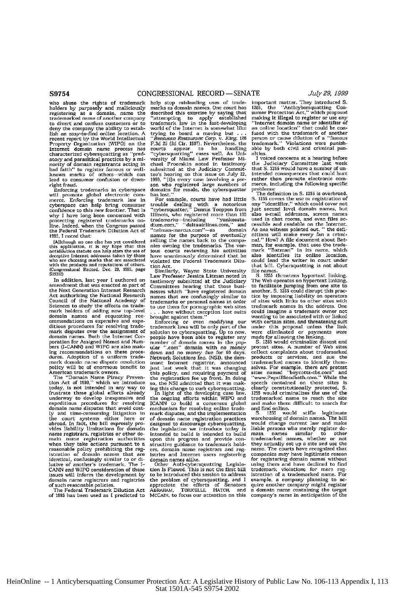who abuse **the** rights of trademark holders by purposely and maliciously registering as a domain, **name the** trademarked name **of** another company to divert and confuse customers or to deny the company the ability to establish an easy-to-find online location, A recent report by the World Intellectual Property Organization (WIPO) on the Internet domain name process has characterized cybersquatting as "predatory and parasitical practices by a mi-nority of domain registrants acting in bad faith" to register famous or well-known marks of otherswhich can lead to consumer confusion or downright fraud.

Enforcing trademarks in cyberspace will promote global electronic com-<br>merce, Enforcing trademark law in<br>cyberspace can help bring consumer confidence to this new frontier. That is why I have long been concerned with protecting registered trademarks on-line. Indeed, when the Congress passed the Federal Trademark Dilution Act of **1995.** I noted that:

(A)Ithough no one else has yet considered this application, it is my hope that this<br>antidilution statute can help stem the use of deceptive Internet addresses taken by those<br>who are choosing marks that are associated<br>with the products and reputations of others.<br>Congressional Record, Dec. **29. 1995.** page<br>S19312)

In addition, last year I authored an amendment that was enacted as part of the Next Generation Internet Research .<br>Act authorizing the National Research<br>Council of the National Academy of Sciences to study the effects **on** trade-mark holders of adding new top-level domain names and requesting rec-<br>ommendations on expensive and expeditious procedures for resolving trademark disputes over the assignment of domain names. Both the Internet Corporation for Assigned Names and Num-hers (I-CANN) and WIPO are also making recommendations on these procedures. Adoption of a uniform trademark domain *name* dispute resolution policy will **be** of enormous benefit to American trademark owners.

The "Domain Name Piracy Preven-tion Act **of 1999."** which we introduce today, Is not intended in any way to frustrate thsse global efforts already underway to develop inexpensive and expeditious procedures for resolving domain name disputes that avoid **cost**ly and time-consuming litigation in the court systems either here or abroad. In fact, the bill expressly pro. vides liability limitations for domain name registrars, registries or other **do**main name registration authorities when they take actions pursuant to a reasonable policy prohibiting the reg-istration of domain names that are identical, confusingly similar **to** or dilutive of another's trademark. The I-CANN and WIPO consideration of these issues will inform the development by domain came registrars and registrie of such reasonable policies. The Federal Trademark Dilution Act **of 1995** has been used as I predicted to

help stop misleading **uses** of trade-marks as domain names. One court has described this exercise by saying that "attempting to apply established "attempting to apply established<br>trademark law in the fast-developing **world of** the Internet **is** somewhat like trying to board a moving **bus -.. "Bensusan** Restaurant *Corp. v. King,* 1i **F.3d 25 (2d** Cir. 197). Nevertheless, the courts appear to **be** handling "rybersquatting" cases well. As Uni-versity of Miami Law Professor **Mi**chael Froomkin noted in testimony submitted at the Judiciary Committee's hearing on this issue on July **22. 1999,** "[i]n every case involving a per-son who registered large numbers of domains for resale, the cybersquatter has lost."

For example, courts have had little trouble dealing with a notorious "cybersquatter," Dennis Toeppen from Illinois, who registered more than **I00** trademarks-including " yankeesta-dium.com," "deltaairlines.com." and "neiman-marcus.com"-as domain names **for** the purpose of eventually selling the names back to the companies owning the trademarks, The various courts reviewing his activities have unanimously determined that he violated the Federal Trademark Dilution Act.

Similarly. Wayne State University Law Professor Jessica Litman noted in testimony submitted at the Judiciary Committees hearing that those busi-nesses which "have registered domain names that are confusingly similar to trademarks or personal names in order to use them for pornographic web sites **...** have without exception lost suits brought against them."

hnforcing or even modifying our trademark laws will be only part **of** the solution to cybersquatting. **Up** to now. people have been able to register any number of domain names **in** the pop-ular ".cam" domain with no money down and no money due for **60** days. Network Solutions Inc. (NSI). the dominant Internet registrar, announced just last week that it was changing this policy, **and** requiring payment of the registration fee up front- In doing so, the NSI admitted that it was mak-

in this change to curb cybersquatting. In light of the developing case law, the ongoing efforts within WIPO and ICANN to build a consensus global mechanism for resolving online trade mark disputes, and the implementation of domain name registration practices designed to discourage cybersquatting, the legislation we introduce today is intended to build is intended to build upon this progress and provide constructive guidance to trademark hold-ers, domain name registrars and registries and Internet users registering<br>domain names alike.

domain names alike, Other Anti-cybersquatting Legisla-tion Is Flawed, This is not the first bill to be introduced this session to address the problem of cybersquatting, and I appreciate the efforts of Senators ABRAHAM, TORIcELLI, **HATCH, and MCCAIN,** to focus our attention **on** this important matter. They introduced S.<br>1255, the "Anticybersquatting Con-<br>sumer Protection Act," which proposed making it illegal to register or **use any** "Internet domain name or identifier of an online location" that could be confused with the trademark of another person or cause dilution of a "famous trademark." Violations were punish-able by both civil and criminal penalties.

I voiced concerns at a hearing before the Judiciary Committee last week that **S.** 1255 would have a number of un intended consequences that could hurt rather than promote electronic **con**merce, including the following specific<br>problems:

**problems** The definition in **S. 1255** is overbroad, **S. 1255** covers the use or registration **of** any "'identifier," which could cover **net** just second level domain names, but also e-mail addrcsses, screen names used in chat rooms, and even files ac-cessibla and readable en the Internet. As one **witness** pointed out, **"** the definitions will make every fan a crimi-na." How? A file document about Batman. for example, that uses the trade-mark "Barman" in its name, which also identifies its online location, could land the writer in court under that bill- Cybersquatting is not about file names.<br> **S. 1255 threatens hypertext linking** 

The Web operates **on** hypertext linking, to facilitate jumping from one site to another. **S. 1255** could disrupt this practice by imposing liability on operators of sites with links to other sites with trademark names in the address. One could imagine a trademark owner not wanting to he associated with or linked with certain sites, **and** threatening suit under this proposal unless the link were eliminated or payments were made for allowing the linking,. **S, 1255** would criminalize dissent and

protest sites. A number of Web sites collect complaints about trademarked products or services, and sue the trademarked names to Identify themselves. For example, there are protest sites named "boycotts-ebs.com" **and** "www.PepsiBloodbath.om." While the speech contained on those sites is clearly constitutionally protected. **S. 1255** would criminalizes the use of the trademarked name to reach the site **and** make them difficult to search for

and find online.<br>
S. **1255** would stifle legitimate<br>
warehousing of domain names. The bill<br>
would change current law and make liable persons who merely register **do**main names similar to other trademarked names, whether or not they actually **set** up a site and use the name. The courts have recognized that companies may have legitimate reason for registering domain names without using them and have declined to find trademark violations for mere registration of a trademarked name. **For** example, a company planning to ac-<br>quire another company might register a domain name containing the target<br>company's name in anticipation of the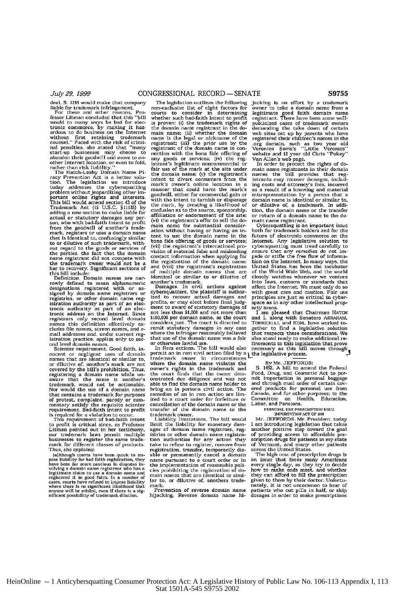liable for trademark infringement.<br>For these and other reasons, Pro-<br>fessor Litman concluded that this "bill would in many ways be bad for electronic commerce, by making it haz-<br>ardous to do business on the Internet<br>without first retaining trademark<br>counsel." Faced with the risk of criminal penalties, she stated that "many start-up businesses may choose to abandon their goodwill and move to an-other Internet location, or even to fold,

rather than risk liability-" The Hatch-Leahy Domain Name Pi-racy Prevention Act is a better solu-tion. The legislation *we* introduce today addresses the cybersquatting<br>problem without jeopardizing other im-<br>protent online rights and interests.<br>This bill would amend section 43 of the<br>Triademark Act (15 U.S.C. 511125) by<br>adding a new section to make liabl mark, registers or uses a domain name that Is Identical to. confusingly similar to or dilutive of such trademark, without regard to the goods or services of the parties. the fact that the domain name registrant did not compete with the trademark owner would not be a bar to recovery. Significant sections of this bill include-

Definition, Domain names are nar-rowly defined to mean alphanumeric designations registered with or assigned by domain name registrars or registries, or other domain name reg-istration authority as part of an electronic authority as part of an electronic address on the Internet. Since registrars only second level domain names this definition effectively **ex**cludes file names, screen names, and e-mail addresses and. under current reg- istration practice, applies only to secistration practice, applies only to second level domain names.

Scienter requirement. Good faith, innocent or negligent uses of domain names that **are** identical or similar to, or dilutive of, another's mark are not or word by the bill's prohibition. Thus, registering a domain name while un-<br>aware that the name is another's<br>trademark would not be actionable.<br>Nor would the use of a domain name that contains a trademark for purposes of protest, complaint, parody or commentary satisfy the requisite scienter requirement, Bad-faith intent to profit is required for a violation to occur. This requirement of bad-faith intent

to profit is critical since, as Professor Litman pointed out in her testimony, our trademark laws permit multiple businesses to register the same trademark for different classes of products. Thus, she explains:

all though courts have been quick to im-<br>pose liability for bad faith registration, they have been far more cautious in disputes in-<br>volving a domain name registrant who has a legitimate claim to use a domain name and<br>regi

The legislation outlines the following  $\,$  jacking is an effort by a trademark outlist of eight factors for  $\,$  owner to take a domain name from a but so consider  $\,$  in determining legitimate good faith domain name he non-exclusive list of eight factors for owner to take a domain name from a<br>courts to consider in determining legitimate good faith domain name<br>whether such bad-faith intent to profit registrant. There have been some well-<br> the domain name registrant in the do-<br>manning the take down of certain<br>main name; (ii) whether the domain web sites set up by parents who have<br>name is the legal or nickname of the registered their children's names in the<br>r registrant; (iii) the prior use by the org domain, such as two year old registrant of the domain name in con-<br>registrant of the domain name in con- Veronica Sams's "Little Veronica"<br>nection with the bona fide offering of w nection with the bona fide offering of website and 12 year old Chris "Pokey"<br>any goods or services; (iv) the reg- Van Allen's web page.<br>Istrant's legitimate noncommercial or In order to protect the rights of doany goods or services; (iv) the **mg-** Van Allen's web page. istrant's legitimate noncommercial or In order to protect the rights of do. fair use of the mark at the site under main name registrants in their domain<br>the domain name: (v) the registrant's names the bill provides that reg intent to divert consumers from the istrants may recover damages, includ-mark's owner's online location in a ing costs and attorney's fees, incurred intent to divert consumers from the istrants may recover damages, includinarity overer sonline location in a ing costs and attorney's foss, incurred manner that could harm the mark's as a result of a knowing and material goodwill. either for commercial gain or with the intent to tarnish or disparage the mark, by creating a likelihood of or dilutive of, a trademark. In addi-confusion as to the source, sponsorship. tion, the domain name or the transfer confusion as to the source, sponsorship. tion, the domain name or the transfer<br>affiliation or endorsement of the site: or return of a domain name to the do-(vi) the registrant's offer to sell the do- main name registrant. ation without having or having an in- both for trademark holders and for the tent to use the domain name in the future of electronic commerce on the bona fide offering of goods or services; Internet. Any legislative solution to (vii) the registrant's international pro- cybersquattlng must tread carefully to vision of material false and misleading ensure that any remedies do not im-contact information when applying for pede or stifle the free flow of informacontact information when applying for pede or stifle the free flow of informa-<br>the registration of the domain name; tion on the Internet. In many ways, the<br>and (viii) the registrant's registration United States has been t and (viii) the registrant's registration United States has been the incubator of multiple domain names that are of the World Wide Web. and the world identical or similar to or dilutive of closely watches whenever we ventur another's trademark. **into laws**, customs or standards that

cybersquatters, the plaintiff is author- with great care and caution. Fair use cybersquatters, the plaintiff is author- with great care and caution. Fair use<br>ized to recover actual damages and principles are just as critical in cyber-<br>profits, or may elect before final judg- space as in any other int profits, or may elect before final judg- space as in any other intellectual prop-meet to award of statutory damages of erty arena. nont to award of statutory damages of erty arena.<br>
not less than \$1.000 and not more than I am pleased that Chairman HATCH<br>
\$100,000 per domain name, as the court and I, along with Senators ABRAHAM,<br>
considers just. The co **\$100,000 per domain name, as the court and I, along with Senators ABRAHAM**, considers just. The court is directed to TORRICELLI, and KOHL have worked toremit statutory damages in any case exchect to find a legislative solution<br>where the infringer reasonably believed that respects these considerations. We<br>that use of the domain name was a fair also stand ready to make addi

In Rem actions. The bill would also meassary as this bill moves through<br>permit an in rem civil action filed by a question fractionary trademark owner in circumstances<br>the legislative process. Where the domain name violates where the domain name violates the where the trademark and **S. 1412. A bill to amend the Federal**<br>the court finds that the owner dem- Food, Drug, and Cosmetic Act to per-<br>onstrated due diligence and was not mit importation in personal baggage  $\omega_{max}$ , regimes the domain demonstration. Food, Drug, and Cosmetic Act to perconstrated due diligence and was not mit importation in personal baggage able to find the domain name holder to and through mail order of certa bring an in persona civil action. The ered products for personal use from bring an in persona civil action. The remedies of an in rem action are lim-<br>Ited to a court order for forfeiture or ited to a court order for forfeiture or Committee on Health, Education, cancellation of the domain name or the Labor, **and** Pensions. transfer of the domain name to the trademark owner. IMPORTATlON **ACT** *OF* 

limit the liability for monetary dam- I am introducing legislation that takes ages **of** domain name registrars, rag- another positive step toward the goal Significant cannot registrate of providing access to affordable pre-<br>sixties or other domain name registration and providing access to affordable pre-<br>take to refuse to register, remove from of Vermont, and many other pati search pursuant to a court order or in an issue that faces many Americans<br>the implementation of reasonable poli- every single day, as they try to decide<br>cies prohibiting the registration of do-how to make ends meet, and wh cies prohibiting the registration of do- how to make ends meet, and whether main names that are identical or simi-<br>they can afford the prescription of the present afford to fill the prescription<br>lar to, or dilutive of, ano lar to, or dilutive of, anothers trade- given to them **by** their doctor- Unfort-mark. nately. it is not uncommon to hear of

misrepresentation by a person that a domain name is identical or similar **to**, or dilutive of, a trademark. In addi-

main name region and in important issue<br>both for trademark holders and for the into laws, customs or standards that affect the Internet. We must only do so

ar otherwise lawful use. finements to this legislation that prove In Rem actions. The bill would also necessary as this **bill** moves through

Mr. JEFFORDS. Mr. President, today<br>I am introducing legislation that takes<br>another positive step toward the goal<br>of providing access to affordable pre-

Prevention of reverse domain name patients who cut pills in half. or skip hijacking. Reverse domain name hi- dosages in order to make prescriptions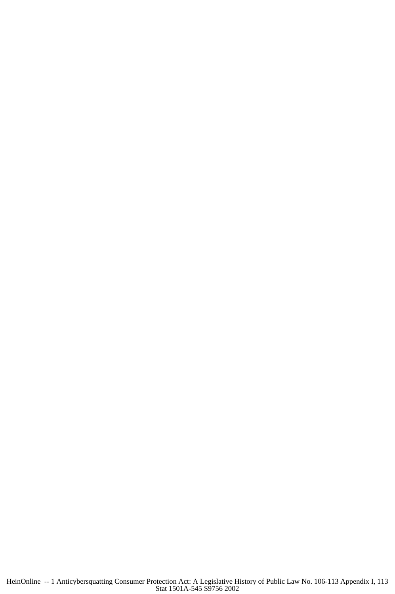HeinOnline -- 1 Anticybersquatting Consumer Protection Act: A Legislative History of Public Law No. 106-113 Appendix I, 113 Stat 1501A-545 S9756 2002